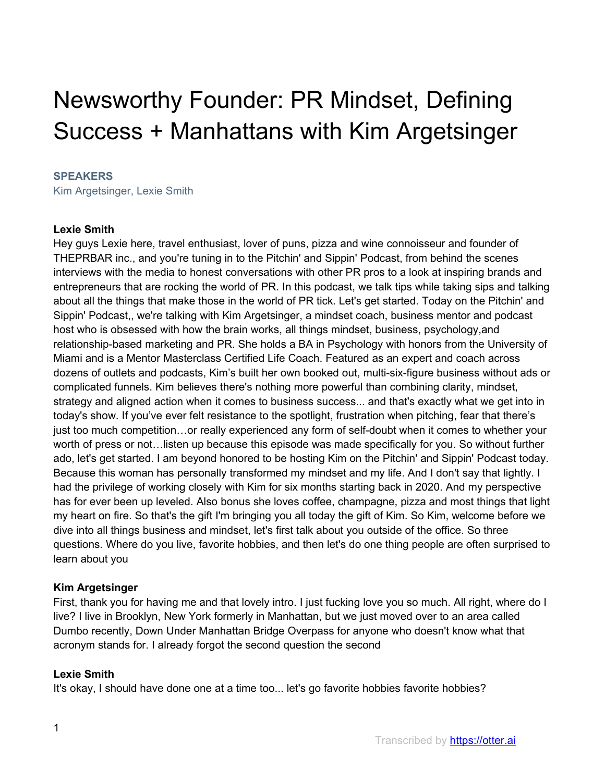# Newsworthy Founder: PR Mindset, Defining Success + Manhattans with Kim Argetsinger

#### **SPEAKERS**

Kim Argetsinger, Lexie Smith

#### **Lexie Smith**

Hey guys Lexie here, travel enthusiast, lover of puns, pizza and wine connoisseur and founder of THEPRBAR inc., and you're tuning in to the Pitchin' and Sippin' Podcast, from behind the scenes interviews with the media to honest conversations with other PR pros to a look at inspiring brands and entrepreneurs that are rocking the world of PR. In this podcast, we talk tips while taking sips and talking about all the things that make those in the world of PR tick. Let's get started. Today on the Pitchin' and Sippin' Podcast,, we're talking with Kim Argetsinger, a mindset coach, business mentor and podcast host who is obsessed with how the brain works, all things mindset, business, psychology,and relationship-based marketing and PR. She holds a BA in Psychology with honors from the University of Miami and is a Mentor Masterclass Certified Life Coach. Featured as an expert and coach across dozens of outlets and podcasts, Kim's built her own booked out, multi-six-figure business without ads or complicated funnels. Kim believes there's nothing more powerful than combining clarity, mindset, strategy and aligned action when it comes to business success... and that's exactly what we get into in today's show. If you've ever felt resistance to the spotlight, frustration when pitching, fear that there's just too much competition…or really experienced any form of self-doubt when it comes to whether your worth of press or not…listen up because this episode was made specifically for you. So without further ado, let's get started. I am beyond honored to be hosting Kim on the Pitchin' and Sippin' Podcast today. Because this woman has personally transformed my mindset and my life. And I don't say that lightly. I had the privilege of working closely with Kim for six months starting back in 2020. And my perspective has for ever been up leveled. Also bonus she loves coffee, champagne, pizza and most things that light my heart on fire. So that's the gift I'm bringing you all today the gift of Kim. So Kim, welcome before we dive into all things business and mindset, let's first talk about you outside of the office. So three questions. Where do you live, favorite hobbies, and then let's do one thing people are often surprised to learn about you

## **Kim Argetsinger**

First, thank you for having me and that lovely intro. I just fucking love you so much. All right, where do I live? I live in Brooklyn, New York formerly in Manhattan, but we just moved over to an area called Dumbo recently, Down Under Manhattan Bridge Overpass for anyone who doesn't know what that acronym stands for. I already forgot the second question the second

#### **Lexie Smith**

It's okay, I should have done one at a time too... let's go favorite hobbies favorite hobbies?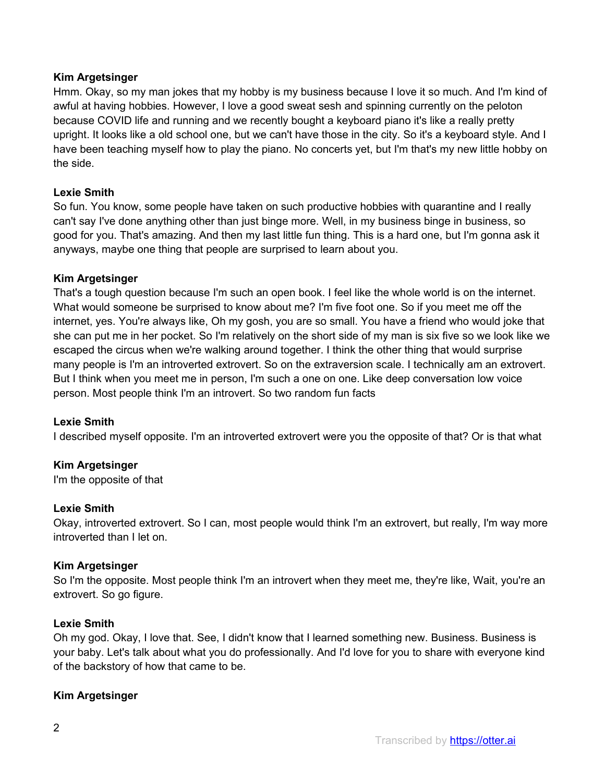# **Kim Argetsinger**

Hmm. Okay, so my man jokes that my hobby is my business because I love it so much. And I'm kind of awful at having hobbies. However, I love a good sweat sesh and spinning currently on the peloton because COVID life and running and we recently bought a keyboard piano it's like a really pretty upright. It looks like a old school one, but we can't have those in the city. So it's a keyboard style. And I have been teaching myself how to play the piano. No concerts yet, but I'm that's my new little hobby on the side.

## **Lexie Smith**

So fun. You know, some people have taken on such productive hobbies with quarantine and I really can't say I've done anything other than just binge more. Well, in my business binge in business, so good for you. That's amazing. And then my last little fun thing. This is a hard one, but I'm gonna ask it anyways, maybe one thing that people are surprised to learn about you.

## **Kim Argetsinger**

That's a tough question because I'm such an open book. I feel like the whole world is on the internet. What would someone be surprised to know about me? I'm five foot one. So if you meet me off the internet, yes. You're always like, Oh my gosh, you are so small. You have a friend who would joke that she can put me in her pocket. So I'm relatively on the short side of my man is six five so we look like we escaped the circus when we're walking around together. I think the other thing that would surprise many people is I'm an introverted extrovert. So on the extraversion scale. I technically am an extrovert. But I think when you meet me in person, I'm such a one on one. Like deep conversation low voice person. Most people think I'm an introvert. So two random fun facts

## **Lexie Smith**

I described myself opposite. I'm an introverted extrovert were you the opposite of that? Or is that what

## **Kim Argetsinger**

I'm the opposite of that

## **Lexie Smith**

Okay, introverted extrovert. So I can, most people would think I'm an extrovert, but really, I'm way more introverted than I let on.

## **Kim Argetsinger**

So I'm the opposite. Most people think I'm an introvert when they meet me, they're like, Wait, you're an extrovert. So go figure.

## **Lexie Smith**

Oh my god. Okay, I love that. See, I didn't know that I learned something new. Business. Business is your baby. Let's talk about what you do professionally. And I'd love for you to share with everyone kind of the backstory of how that came to be.

## **Kim Argetsinger**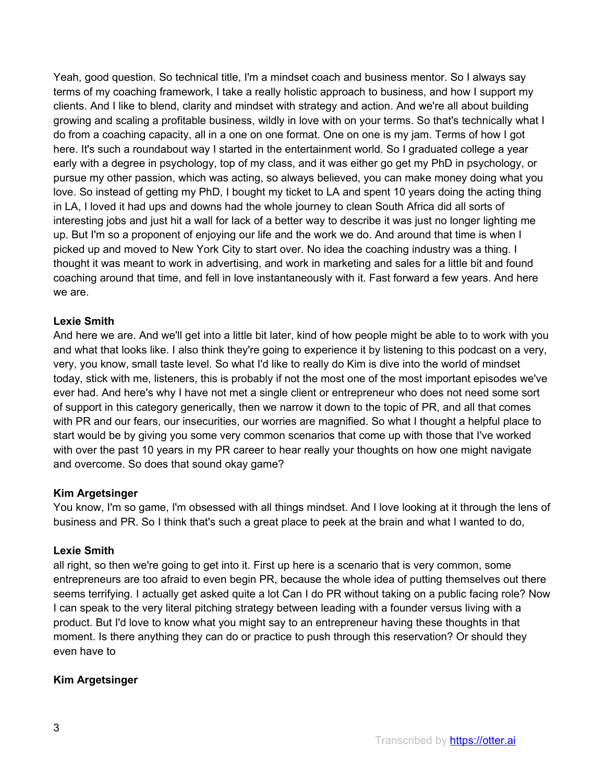Yeah, good question. So technical title, I'm a mindset coach and business mentor. So I always say terms of my coaching framework, I take a really holistic approach to business, and how I support my clients. And I like to blend, clarity and mindset with strategy and action. And we're all about building growing and scaling a profitable business, wildly in love with on your terms. So that's technically what I do from a coaching capacity, all in a one on one format. One on one is my jam. Terms of how I got here. It's such a roundabout way I started in the entertainment world. So I graduated college a year early with a degree in psychology, top of my class, and it was either go get my PhD in psychology, or pursue my other passion, which was acting, so always believed, you can make money doing what you love. So instead of getting my PhD, I bought my ticket to LA and spent 10 years doing the acting thing in LA, I loved it had ups and downs had the whole journey to clean South Africa did all sorts of interesting jobs and just hit a wall for lack of a better way to describe it was just no longer lighting me up. But I'm so a proponent of enjoying our life and the work we do. And around that time is when I picked up and moved to New York City to start over. No idea the coaching industry was a thing. I thought it was meant to work in advertising, and work in marketing and sales for a little bit and found coaching around that time, and fell in love instantaneously with it. Fast forward a few years. And here we are.

## **Lexie Smith**

And here we are. And we'll get into a little bit later, kind of how people might be able to to work with you and what that looks like. I also think they're going to experience it by listening to this podcast on a very, very, you know, small taste level. So what I'd like to really do Kim is dive into the world of mindset today, stick with me, listeners, this is probably if not the most one of the most important episodes we've ever had. And here's why I have not met a single client or entrepreneur who does not need some sort of support in this category generically, then we narrow it down to the topic of PR, and all that comes with PR and our fears, our insecurities, our worries are magnified. So what I thought a helpful place to start would be by giving you some very common scenarios that come up with those that I've worked with over the past 10 years in my PR career to hear really your thoughts on how one might navigate and overcome. So does that sound okay game?

# **Kim Argetsinger**

You know, I'm so game, I'm obsessed with all things mindset. And I love looking at it through the lens of business and PR. So I think that's such a great place to peek at the brain and what I wanted to do,

## **Lexie Smith**

all right, so then we're going to get into it. First up here is a scenario that is very common, some entrepreneurs are too afraid to even begin PR, because the whole idea of putting themselves out there seems terrifying. I actually get asked quite a lot Can I do PR without taking on a public facing role? Now I can speak to the very literal pitching strategy between leading with a founder versus living with a product. But I'd love to know what you might say to an entrepreneur having these thoughts in that moment. Is there anything they can do or practice to push through this reservation? Or should they even have to

# **Kim Argetsinger**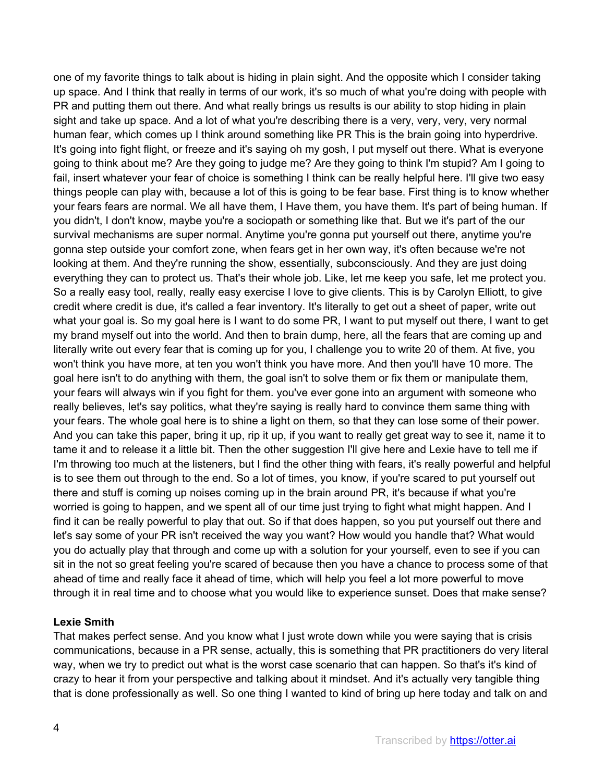one of my favorite things to talk about is hiding in plain sight. And the opposite which I consider taking up space. And I think that really in terms of our work, it's so much of what you're doing with people with PR and putting them out there. And what really brings us results is our ability to stop hiding in plain sight and take up space. And a lot of what you're describing there is a very, very, very, very normal human fear, which comes up I think around something like PR This is the brain going into hyperdrive. It's going into fight flight, or freeze and it's saying oh my gosh, I put myself out there. What is everyone going to think about me? Are they going to judge me? Are they going to think I'm stupid? Am I going to fail, insert whatever your fear of choice is something I think can be really helpful here. I'll give two easy things people can play with, because a lot of this is going to be fear base. First thing is to know whether your fears fears are normal. We all have them, I Have them, you have them. It's part of being human. If you didn't, I don't know, maybe you're a sociopath or something like that. But we it's part of the our survival mechanisms are super normal. Anytime you're gonna put yourself out there, anytime you're gonna step outside your comfort zone, when fears get in her own way, it's often because we're not looking at them. And they're running the show, essentially, subconsciously. And they are just doing everything they can to protect us. That's their whole job. Like, let me keep you safe, let me protect you. So a really easy tool, really, really easy exercise I love to give clients. This is by Carolyn Elliott, to give credit where credit is due, it's called a fear inventory. It's literally to get out a sheet of paper, write out what your goal is. So my goal here is I want to do some PR, I want to put myself out there, I want to get my brand myself out into the world. And then to brain dump, here, all the fears that are coming up and literally write out every fear that is coming up for you, I challenge you to write 20 of them. At five, you won't think you have more, at ten you won't think you have more. And then you'll have 10 more. The goal here isn't to do anything with them, the goal isn't to solve them or fix them or manipulate them, your fears will always win if you fight for them. you've ever gone into an argument with someone who really believes, let's say politics, what they're saying is really hard to convince them same thing with your fears. The whole goal here is to shine a light on them, so that they can lose some of their power. And you can take this paper, bring it up, rip it up, if you want to really get great way to see it, name it to tame it and to release it a little bit. Then the other suggestion I'll give here and Lexie have to tell me if I'm throwing too much at the listeners, but I find the other thing with fears, it's really powerful and helpful is to see them out through to the end. So a lot of times, you know, if you're scared to put yourself out there and stuff is coming up noises coming up in the brain around PR, it's because if what you're worried is going to happen, and we spent all of our time just trying to fight what might happen. And I find it can be really powerful to play that out. So if that does happen, so you put yourself out there and let's say some of your PR isn't received the way you want? How would you handle that? What would you do actually play that through and come up with a solution for your yourself, even to see if you can sit in the not so great feeling you're scared of because then you have a chance to process some of that ahead of time and really face it ahead of time, which will help you feel a lot more powerful to move through it in real time and to choose what you would like to experience sunset. Does that make sense?

## **Lexie Smith**

That makes perfect sense. And you know what I just wrote down while you were saying that is crisis communications, because in a PR sense, actually, this is something that PR practitioners do very literal way, when we try to predict out what is the worst case scenario that can happen. So that's it's kind of crazy to hear it from your perspective and talking about it mindset. And it's actually very tangible thing that is done professionally as well. So one thing I wanted to kind of bring up here today and talk on and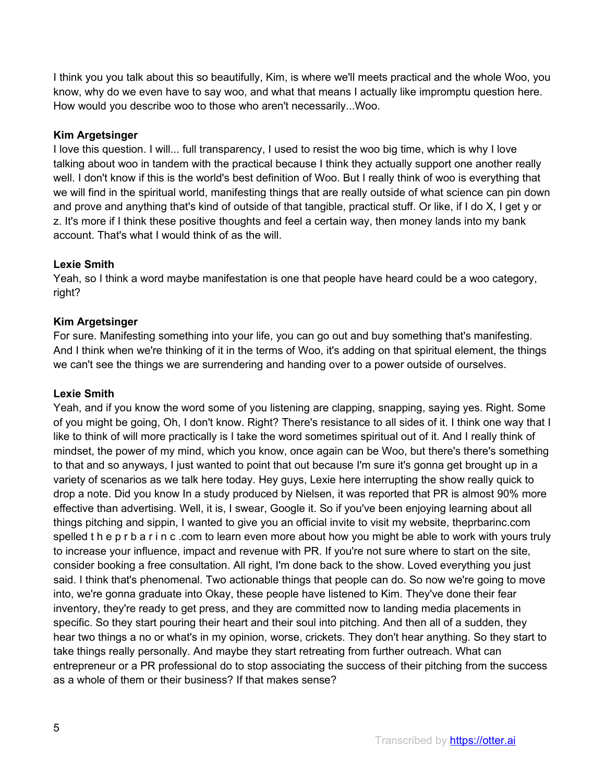I think you you talk about this so beautifully, Kim, is where we'll meets practical and the whole Woo, you know, why do we even have to say woo, and what that means I actually like impromptu question here. How would you describe woo to those who aren't necessarily...Woo.

# **Kim Argetsinger**

I love this question. I will... full transparency, I used to resist the woo big time, which is why I love talking about woo in tandem with the practical because I think they actually support one another really well. I don't know if this is the world's best definition of Woo. But I really think of woo is everything that we will find in the spiritual world, manifesting things that are really outside of what science can pin down and prove and anything that's kind of outside of that tangible, practical stuff. Or like, if I do X, I get y or z. It's more if I think these positive thoughts and feel a certain way, then money lands into my bank account. That's what I would think of as the will.

## **Lexie Smith**

Yeah, so I think a word maybe manifestation is one that people have heard could be a woo category, right?

## **Kim Argetsinger**

For sure. Manifesting something into your life, you can go out and buy something that's manifesting. And I think when we're thinking of it in the terms of Woo, it's adding on that spiritual element, the things we can't see the things we are surrendering and handing over to a power outside of ourselves.

## **Lexie Smith**

Yeah, and if you know the word some of you listening are clapping, snapping, saying yes. Right. Some of you might be going, Oh, I don't know. Right? There's resistance to all sides of it. I think one way that I like to think of will more practically is I take the word sometimes spiritual out of it. And I really think of mindset, the power of my mind, which you know, once again can be Woo, but there's there's something to that and so anyways, I just wanted to point that out because I'm sure it's gonna get brought up in a variety of scenarios as we talk here today. Hey guys, Lexie here interrupting the show really quick to drop a note. Did you know In a study produced by Nielsen, it was reported that PR is almost 90% more effective than advertising. Well, it is, I swear, Google it. So if you've been enjoying learning about all things pitching and sippin, I wanted to give you an official invite to visit my website, theprbarinc.com spelled t h e p r b a r i n c .com to learn even more about how you might be able to work with yours truly to increase your influence, impact and revenue with PR. If you're not sure where to start on the site, consider booking a free consultation. All right, I'm done back to the show. Loved everything you just said. I think that's phenomenal. Two actionable things that people can do. So now we're going to move into, we're gonna graduate into Okay, these people have listened to Kim. They've done their fear inventory, they're ready to get press, and they are committed now to landing media placements in specific. So they start pouring their heart and their soul into pitching. And then all of a sudden, they hear two things a no or what's in my opinion, worse, crickets. They don't hear anything. So they start to take things really personally. And maybe they start retreating from further outreach. What can entrepreneur or a PR professional do to stop associating the success of their pitching from the success as a whole of them or their business? If that makes sense?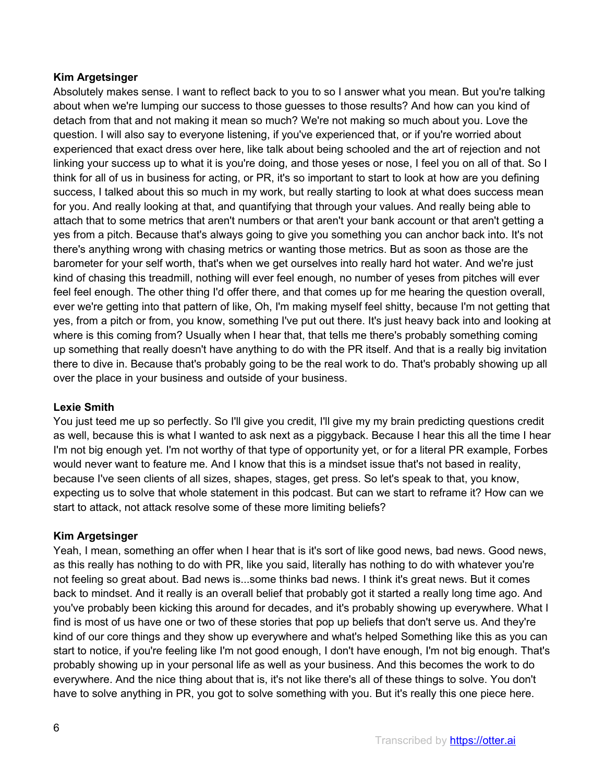# **Kim Argetsinger**

Absolutely makes sense. I want to reflect back to you to so I answer what you mean. But you're talking about when we're lumping our success to those guesses to those results? And how can you kind of detach from that and not making it mean so much? We're not making so much about you. Love the question. I will also say to everyone listening, if you've experienced that, or if you're worried about experienced that exact dress over here, like talk about being schooled and the art of rejection and not linking your success up to what it is you're doing, and those yeses or nose, I feel you on all of that. So I think for all of us in business for acting, or PR, it's so important to start to look at how are you defining success, I talked about this so much in my work, but really starting to look at what does success mean for you. And really looking at that, and quantifying that through your values. And really being able to attach that to some metrics that aren't numbers or that aren't your bank account or that aren't getting a yes from a pitch. Because that's always going to give you something you can anchor back into. It's not there's anything wrong with chasing metrics or wanting those metrics. But as soon as those are the barometer for your self worth, that's when we get ourselves into really hard hot water. And we're just kind of chasing this treadmill, nothing will ever feel enough, no number of yeses from pitches will ever feel feel enough. The other thing I'd offer there, and that comes up for me hearing the question overall, ever we're getting into that pattern of like, Oh, I'm making myself feel shitty, because I'm not getting that yes, from a pitch or from, you know, something I've put out there. It's just heavy back into and looking at where is this coming from? Usually when I hear that, that tells me there's probably something coming up something that really doesn't have anything to do with the PR itself. And that is a really big invitation there to dive in. Because that's probably going to be the real work to do. That's probably showing up all over the place in your business and outside of your business.

# **Lexie Smith**

You just teed me up so perfectly. So I'll give you credit, I'll give my my brain predicting questions credit as well, because this is what I wanted to ask next as a piggyback. Because I hear this all the time I hear I'm not big enough yet. I'm not worthy of that type of opportunity yet, or for a literal PR example, Forbes would never want to feature me. And I know that this is a mindset issue that's not based in reality, because I've seen clients of all sizes, shapes, stages, get press. So let's speak to that, you know, expecting us to solve that whole statement in this podcast. But can we start to reframe it? How can we start to attack, not attack resolve some of these more limiting beliefs?

# **Kim Argetsinger**

Yeah, I mean, something an offer when I hear that is it's sort of like good news, bad news. Good news, as this really has nothing to do with PR, like you said, literally has nothing to do with whatever you're not feeling so great about. Bad news is...some thinks bad news. I think it's great news. But it comes back to mindset. And it really is an overall belief that probably got it started a really long time ago. And you've probably been kicking this around for decades, and it's probably showing up everywhere. What I find is most of us have one or two of these stories that pop up beliefs that don't serve us. And they're kind of our core things and they show up everywhere and what's helped Something like this as you can start to notice, if you're feeling like I'm not good enough, I don't have enough, I'm not big enough. That's probably showing up in your personal life as well as your business. And this becomes the work to do everywhere. And the nice thing about that is, it's not like there's all of these things to solve. You don't have to solve anything in PR, you got to solve something with you. But it's really this one piece here.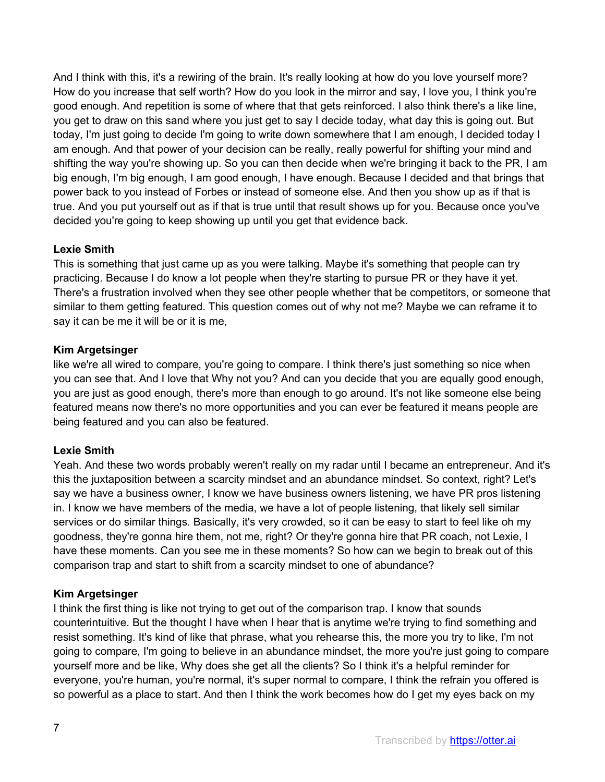And I think with this, it's a rewiring of the brain. It's really looking at how do you love yourself more? How do you increase that self worth? How do you look in the mirror and say, I love you, I think you're good enough. And repetition is some of where that that gets reinforced. I also think there's a like line, you get to draw on this sand where you just get to say I decide today, what day this is going out. But today, I'm just going to decide I'm going to write down somewhere that I am enough, I decided today I am enough. And that power of your decision can be really, really powerful for shifting your mind and shifting the way you're showing up. So you can then decide when we're bringing it back to the PR, I am big enough, I'm big enough, I am good enough, I have enough. Because I decided and that brings that power back to you instead of Forbes or instead of someone else. And then you show up as if that is true. And you put yourself out as if that is true until that result shows up for you. Because once you've decided you're going to keep showing up until you get that evidence back.

# **Lexie Smith**

This is something that just came up as you were talking. Maybe it's something that people can try practicing. Because I do know a lot people when they're starting to pursue PR or they have it yet. There's a frustration involved when they see other people whether that be competitors, or someone that similar to them getting featured. This question comes out of why not me? Maybe we can reframe it to say it can be me it will be or it is me,

## **Kim Argetsinger**

like we're all wired to compare, you're going to compare. I think there's just something so nice when you can see that. And I love that Why not you? And can you decide that you are equally good enough, you are just as good enough, there's more than enough to go around. It's not like someone else being featured means now there's no more opportunities and you can ever be featured it means people are being featured and you can also be featured.

# **Lexie Smith**

Yeah. And these two words probably weren't really on my radar until I became an entrepreneur. And it's this the juxtaposition between a scarcity mindset and an abundance mindset. So context, right? Let's say we have a business owner, I know we have business owners listening, we have PR pros listening in. I know we have members of the media, we have a lot of people listening, that likely sell similar services or do similar things. Basically, it's very crowded, so it can be easy to start to feel like oh my goodness, they're gonna hire them, not me, right? Or they're gonna hire that PR coach, not Lexie, I have these moments. Can you see me in these moments? So how can we begin to break out of this comparison trap and start to shift from a scarcity mindset to one of abundance?

# **Kim Argetsinger**

I think the first thing is like not trying to get out of the comparison trap. I know that sounds counterintuitive. But the thought I have when I hear that is anytime we're trying to find something and resist something. It's kind of like that phrase, what you rehearse this, the more you try to like, I'm not going to compare, I'm going to believe in an abundance mindset, the more you're just going to compare yourself more and be like, Why does she get all the clients? So I think it's a helpful reminder for everyone, you're human, you're normal, it's super normal to compare, I think the refrain you offered is so powerful as a place to start. And then I think the work becomes how do I get my eyes back on my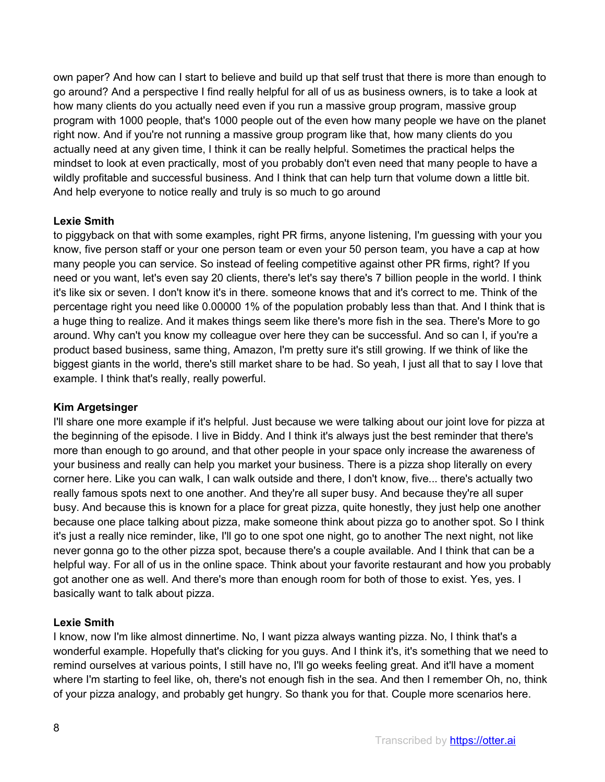own paper? And how can I start to believe and build up that self trust that there is more than enough to go around? And a perspective I find really helpful for all of us as business owners, is to take a look at how many clients do you actually need even if you run a massive group program, massive group program with 1000 people, that's 1000 people out of the even how many people we have on the planet right now. And if you're not running a massive group program like that, how many clients do you actually need at any given time, I think it can be really helpful. Sometimes the practical helps the mindset to look at even practically, most of you probably don't even need that many people to have a wildly profitable and successful business. And I think that can help turn that volume down a little bit. And help everyone to notice really and truly is so much to go around

## **Lexie Smith**

to piggyback on that with some examples, right PR firms, anyone listening, I'm guessing with your you know, five person staff or your one person team or even your 50 person team, you have a cap at how many people you can service. So instead of feeling competitive against other PR firms, right? If you need or you want, let's even say 20 clients, there's let's say there's 7 billion people in the world. I think it's like six or seven. I don't know it's in there. someone knows that and it's correct to me. Think of the percentage right you need like 0.00000 1% of the population probably less than that. And I think that is a huge thing to realize. And it makes things seem like there's more fish in the sea. There's More to go around. Why can't you know my colleague over here they can be successful. And so can I, if you're a product based business, same thing, Amazon, I'm pretty sure it's still growing. If we think of like the biggest giants in the world, there's still market share to be had. So yeah, I just all that to say I love that example. I think that's really, really powerful.

## **Kim Argetsinger**

I'll share one more example if it's helpful. Just because we were talking about our joint love for pizza at the beginning of the episode. I live in Biddy. And I think it's always just the best reminder that there's more than enough to go around, and that other people in your space only increase the awareness of your business and really can help you market your business. There is a pizza shop literally on every corner here. Like you can walk, I can walk outside and there, I don't know, five... there's actually two really famous spots next to one another. And they're all super busy. And because they're all super busy. And because this is known for a place for great pizza, quite honestly, they just help one another because one place talking about pizza, make someone think about pizza go to another spot. So I think it's just a really nice reminder, like, I'll go to one spot one night, go to another The next night, not like never gonna go to the other pizza spot, because there's a couple available. And I think that can be a helpful way. For all of us in the online space. Think about your favorite restaurant and how you probably got another one as well. And there's more than enough room for both of those to exist. Yes, yes. I basically want to talk about pizza.

## **Lexie Smith**

I know, now I'm like almost dinnertime. No, I want pizza always wanting pizza. No, I think that's a wonderful example. Hopefully that's clicking for you guys. And I think it's, it's something that we need to remind ourselves at various points, I still have no, I'll go weeks feeling great. And it'll have a moment where I'm starting to feel like, oh, there's not enough fish in the sea. And then I remember Oh, no, think of your pizza analogy, and probably get hungry. So thank you for that. Couple more scenarios here.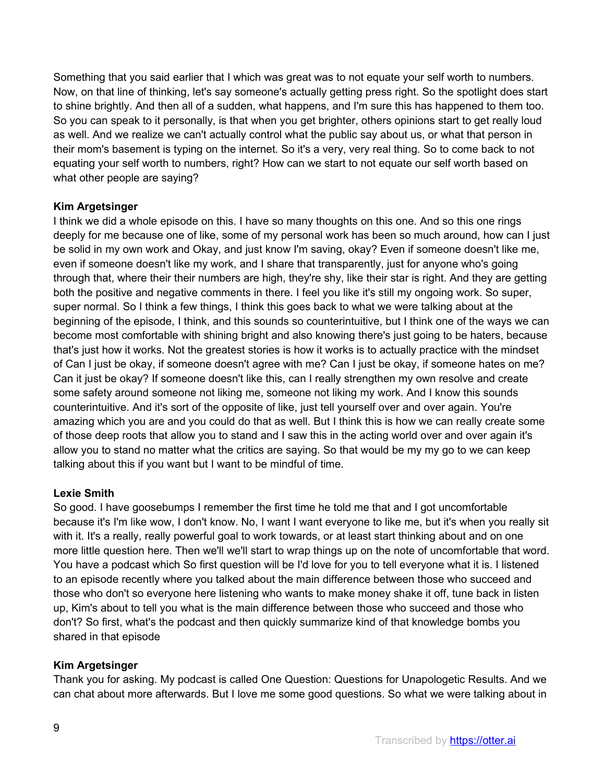Something that you said earlier that I which was great was to not equate your self worth to numbers. Now, on that line of thinking, let's say someone's actually getting press right. So the spotlight does start to shine brightly. And then all of a sudden, what happens, and I'm sure this has happened to them too. So you can speak to it personally, is that when you get brighter, others opinions start to get really loud as well. And we realize we can't actually control what the public say about us, or what that person in their mom's basement is typing on the internet. So it's a very, very real thing. So to come back to not equating your self worth to numbers, right? How can we start to not equate our self worth based on what other people are saying?

## **Kim Argetsinger**

I think we did a whole episode on this. I have so many thoughts on this one. And so this one rings deeply for me because one of like, some of my personal work has been so much around, how can I just be solid in my own work and Okay, and just know I'm saving, okay? Even if someone doesn't like me, even if someone doesn't like my work, and I share that transparently, just for anyone who's going through that, where their their numbers are high, they're shy, like their star is right. And they are getting both the positive and negative comments in there. I feel you like it's still my ongoing work. So super, super normal. So I think a few things, I think this goes back to what we were talking about at the beginning of the episode, I think, and this sounds so counterintuitive, but I think one of the ways we can become most comfortable with shining bright and also knowing there's just going to be haters, because that's just how it works. Not the greatest stories is how it works is to actually practice with the mindset of Can I just be okay, if someone doesn't agree with me? Can I just be okay, if someone hates on me? Can it just be okay? If someone doesn't like this, can I really strengthen my own resolve and create some safety around someone not liking me, someone not liking my work. And I know this sounds counterintuitive. And it's sort of the opposite of like, just tell yourself over and over again. You're amazing which you are and you could do that as well. But I think this is how we can really create some of those deep roots that allow you to stand and I saw this in the acting world over and over again it's allow you to stand no matter what the critics are saying. So that would be my my go to we can keep talking about this if you want but I want to be mindful of time.

## **Lexie Smith**

So good. I have goosebumps I remember the first time he told me that and I got uncomfortable because it's I'm like wow, I don't know. No, I want I want everyone to like me, but it's when you really sit with it. It's a really, really powerful goal to work towards, or at least start thinking about and on one more little question here. Then we'll we'll start to wrap things up on the note of uncomfortable that word. You have a podcast which So first question will be I'd love for you to tell everyone what it is. I listened to an episode recently where you talked about the main difference between those who succeed and those who don't so everyone here listening who wants to make money shake it off, tune back in listen up, Kim's about to tell you what is the main difference between those who succeed and those who don't? So first, what's the podcast and then quickly summarize kind of that knowledge bombs you shared in that episode

# **Kim Argetsinger**

Thank you for asking. My podcast is called One Question: Questions for Unapologetic Results. And we can chat about more afterwards. But I love me some good questions. So what we were talking about in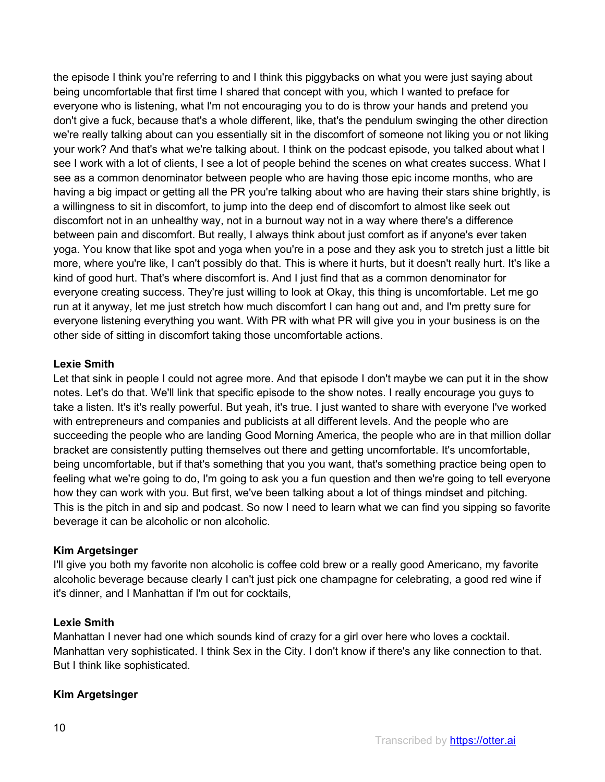the episode I think you're referring to and I think this piggybacks on what you were just saying about being uncomfortable that first time I shared that concept with you, which I wanted to preface for everyone who is listening, what I'm not encouraging you to do is throw your hands and pretend you don't give a fuck, because that's a whole different, like, that's the pendulum swinging the other direction we're really talking about can you essentially sit in the discomfort of someone not liking you or not liking your work? And that's what we're talking about. I think on the podcast episode, you talked about what I see I work with a lot of clients, I see a lot of people behind the scenes on what creates success. What I see as a common denominator between people who are having those epic income months, who are having a big impact or getting all the PR you're talking about who are having their stars shine brightly, is a willingness to sit in discomfort, to jump into the deep end of discomfort to almost like seek out discomfort not in an unhealthy way, not in a burnout way not in a way where there's a difference between pain and discomfort. But really, I always think about just comfort as if anyone's ever taken yoga. You know that like spot and yoga when you're in a pose and they ask you to stretch just a little bit more, where you're like, I can't possibly do that. This is where it hurts, but it doesn't really hurt. It's like a kind of good hurt. That's where discomfort is. And I just find that as a common denominator for everyone creating success. They're just willing to look at Okay, this thing is uncomfortable. Let me go run at it anyway, let me just stretch how much discomfort I can hang out and, and I'm pretty sure for everyone listening everything you want. With PR with what PR will give you in your business is on the other side of sitting in discomfort taking those uncomfortable actions.

## **Lexie Smith**

Let that sink in people I could not agree more. And that episode I don't maybe we can put it in the show notes. Let's do that. We'll link that specific episode to the show notes. I really encourage you guys to take a listen. It's it's really powerful. But yeah, it's true. I just wanted to share with everyone I've worked with entrepreneurs and companies and publicists at all different levels. And the people who are succeeding the people who are landing Good Morning America, the people who are in that million dollar bracket are consistently putting themselves out there and getting uncomfortable. It's uncomfortable, being uncomfortable, but if that's something that you you want, that's something practice being open to feeling what we're going to do, I'm going to ask you a fun question and then we're going to tell everyone how they can work with you. But first, we've been talking about a lot of things mindset and pitching. This is the pitch in and sip and podcast. So now I need to learn what we can find you sipping so favorite beverage it can be alcoholic or non alcoholic.

# **Kim Argetsinger**

I'll give you both my favorite non alcoholic is coffee cold brew or a really good Americano, my favorite alcoholic beverage because clearly I can't just pick one champagne for celebrating, a good red wine if it's dinner, and I Manhattan if I'm out for cocktails,

## **Lexie Smith**

Manhattan I never had one which sounds kind of crazy for a girl over here who loves a cocktail. Manhattan very sophisticated. I think Sex in the City. I don't know if there's any like connection to that. But I think like sophisticated.

# **Kim Argetsinger**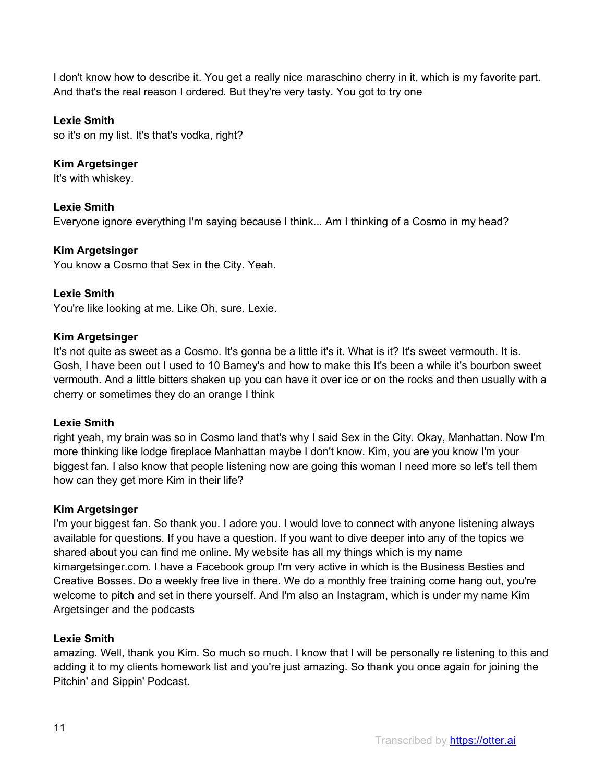I don't know how to describe it. You get a really nice maraschino cherry in it, which is my favorite part. And that's the real reason I ordered. But they're very tasty. You got to try one

## **Lexie Smith**

so it's on my list. It's that's vodka, right?

# **Kim Argetsinger**

It's with whiskey.

## **Lexie Smith**

Everyone ignore everything I'm saying because I think... Am I thinking of a Cosmo in my head?

## **Kim Argetsinger**

You know a Cosmo that Sex in the City. Yeah.

## **Lexie Smith**

You're like looking at me. Like Oh, sure. Lexie.

## **Kim Argetsinger**

It's not quite as sweet as a Cosmo. It's gonna be a little it's it. What is it? It's sweet vermouth. It is. Gosh, I have been out I used to 10 Barney's and how to make this It's been a while it's bourbon sweet vermouth. And a little bitters shaken up you can have it over ice or on the rocks and then usually with a cherry or sometimes they do an orange I think

## **Lexie Smith**

right yeah, my brain was so in Cosmo land that's why I said Sex in the City. Okay, Manhattan. Now I'm more thinking like lodge fireplace Manhattan maybe I don't know. Kim, you are you know I'm your biggest fan. I also know that people listening now are going this woman I need more so let's tell them how can they get more Kim in their life?

## **Kim Argetsinger**

I'm your biggest fan. So thank you. I adore you. I would love to connect with anyone listening always available for questions. If you have a question. If you want to dive deeper into any of the topics we shared about you can find me online. My website has all my things which is my name kimargetsinger.com. I have a Facebook group I'm very active in which is the Business Besties and Creative Bosses. Do a weekly free live in there. We do a monthly free training come hang out, you're welcome to pitch and set in there yourself. And I'm also an Instagram, which is under my name Kim Argetsinger and the podcasts

## **Lexie Smith**

amazing. Well, thank you Kim. So much so much. I know that I will be personally re listening to this and adding it to my clients homework list and you're just amazing. So thank you once again for joining the Pitchin' and Sippin' Podcast.